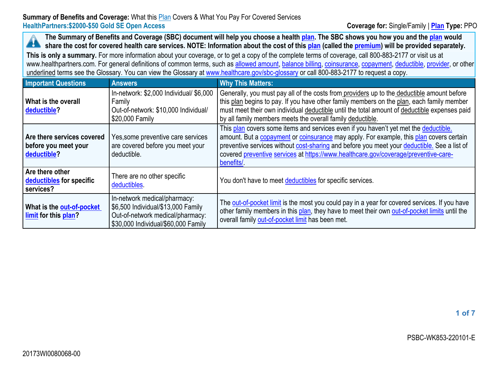The Summary of Benefits and Coverage (SBC) document will help you choose a health [plan](https://www.healthcare.gov/sbc-glossary/#plan). The SBC shows you how you and the plan would A share the cost for covered health care services. NOTE: Information about the cost of this [plan](https://www.healthcare.gov/sbc-glossary/#plan) (called the [premium\)](https://www.healthcare.gov/sbc-glossary/#premium) will be provided separately.

**This is only <sup>a</sup> summary.** For more information about your coverage, or to get <sup>a</sup> copy of the complete terms of coverage, call 800-883-2177 or visit us at www.healthpartners.com. For general definitions of common terms, such as allowed [amount](https://www.healthcare.gov/sbc-glossary/#allowed-amount), [balance](https://www.healthcare.gov/sbc-glossary/#balance-billing) billing, [coinsurance](https://www.healthcare.gov/sbc-glossary/#coinsurance), [copayment](https://www.healthcare.gov/sbc-glossary/#copayment), [deductible](https://www.healthcare.gov/sbc-glossary/#deductible), [provider](https://www.healthcare.gov/sbc-glossary/#provider), or other underlined terms see the Glossary. You can view the Glossary at [www.healthcare.gov/sbc-glossary](https://www.healthcare.gov/sbc-glossary) or call 800-883-2177 to request <sup>a</sup> copy.

| <b>Important Questions</b>                                        | <b>Answers</b>                                                                                                                                | <b>Why This Matters:</b>                                                                                                                                                                                                                                                                                                                                                           |
|-------------------------------------------------------------------|-----------------------------------------------------------------------------------------------------------------------------------------------|------------------------------------------------------------------------------------------------------------------------------------------------------------------------------------------------------------------------------------------------------------------------------------------------------------------------------------------------------------------------------------|
| What is the overall<br>deductible?                                | In-network: \$2,000 Individual/ \$6,000<br>Family<br>Out-of-network: \$10,000 Individual/<br>\$20,000 Family                                  | Generally, you must pay all of the costs from providers up to the deductible amount before<br>this plan begins to pay. If you have other family members on the plan, each family member<br>must meet their own individual deductible until the total amount of deductible expenses paid<br>by all family members meets the overall family deductible.                              |
| Are there services covered<br>before you meet your<br>deductible? | Yes, some preventive care services<br>are covered before you meet your<br>deductible.                                                         | This plan covers some items and services even if you haven't yet met the deductible.<br>amount. But a copayment or coinsurance may apply. For example, this plan covers certain<br>preventive services without cost-sharing and before you meet your deductible. See a list of<br>covered preventive services at https://www.healthcare.gov/coverage/preventive-care-<br>benefits/ |
| Are there other<br>deductibles for specific<br>services?          | There are no other specific<br>deductibles.                                                                                                   | You don't have to meet deductibles for specific services.                                                                                                                                                                                                                                                                                                                          |
| What is the out-of-pocket<br>limit for this plan?                 | In-network medical/pharmacy:<br>\$6,500 Individual/\$13,000 Family<br>Out-of-network medical/pharmacy:<br>\$30,000 Individual/\$60,000 Family | The out-of-pocket limit is the most you could pay in a year for covered services. If you have<br>other family members in this plan, they have to meet their own out-of-pocket limits until the<br>overall family out-of-pocket limit has been met.                                                                                                                                 |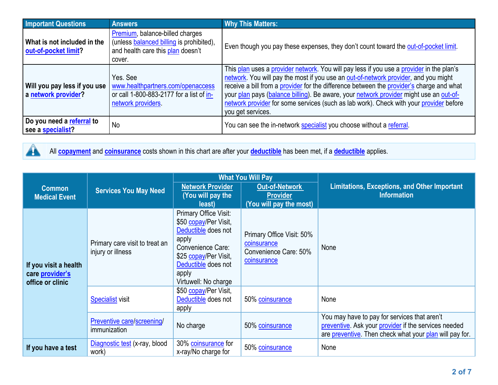| <b>Important Questions</b>                                                                                                                                             | <b>Answers</b>                                                                                                             | <b>Why This Matters:</b>                                                                                                                                                                                                                                                                                                                                                                                                                                                             |  |
|------------------------------------------------------------------------------------------------------------------------------------------------------------------------|----------------------------------------------------------------------------------------------------------------------------|--------------------------------------------------------------------------------------------------------------------------------------------------------------------------------------------------------------------------------------------------------------------------------------------------------------------------------------------------------------------------------------------------------------------------------------------------------------------------------------|--|
| What is not included in the<br>out-of-pocket limit?                                                                                                                    | Premium, balance-billed charges<br>(unless balanced billing is prohibited),<br>and health care this plan doesn't<br>cover. | Even though you pay these expenses, they don't count toward the out-of-pocket limit.                                                                                                                                                                                                                                                                                                                                                                                                 |  |
| Yes, See<br>www.healthpartners.com/openaccess<br>Will you pay less if you use<br>or call 1-800-883-2177 for a list of in-<br>a network provider?<br>network providers. |                                                                                                                            | This plan uses a provider network. You will pay less if you use a provider in the plan's<br>network. You will pay the most if you use an out-of-network provider, and you might<br>receive a bill from a provider for the difference between the provider's charge and what<br>your plan pays (balance billing). Be aware, your network provider might use an out-of-<br>network provider for some services (such as lab work). Check with your provider before<br>you get services. |  |
| Do you need a referral to<br>see a specialist?                                                                                                                         | No                                                                                                                         | You can see the in-network specialist you choose without a referral.                                                                                                                                                                                                                                                                                                                                                                                                                 |  |



All **[copayment](https://www.healthcare.gov/sbc-glossary/#copayment)** and **[coinsurance](https://www.healthcare.gov/sbc-glossary/#coinsurance)** costs shown in this chart are after your **[deductible](https://www.healthcare.gov/sbc-glossary/#deductible)** has been met, if <sup>a</sup> **[deductible](https://www.healthcare.gov/sbc-glossary/#deductible)** applies.

|                                                              | <b>Services You May Need</b>                        | <b>What You Will Pay</b>                                                                                                                                                             |                                                                                  |                                                                                                                                                                 |  |
|--------------------------------------------------------------|-----------------------------------------------------|--------------------------------------------------------------------------------------------------------------------------------------------------------------------------------------|----------------------------------------------------------------------------------|-----------------------------------------------------------------------------------------------------------------------------------------------------------------|--|
| <b>Common</b><br><b>Medical Event</b>                        |                                                     | <b>Network Provider</b><br>(You will pay the<br>least)                                                                                                                               | <b>Out-of-Network</b><br><b>Provider</b><br>(You will pay the most)              | <b>Limitations, Exceptions, and Other Important</b><br><b>Information</b>                                                                                       |  |
| If you visit a health<br>care provider's<br>office or clinic | Primary care visit to treat an<br>injury or illness | Primary Office Visit:<br>\$50 copay/Per Visit,<br>Deductible does not<br>apply<br>Convenience Care:<br>\$25 copay/Per Visit,<br>Deductible does not<br>apply<br>Virtuwell: No charge | Primary Office Visit: 50%<br>coinsurance<br>Convenience Care: 50%<br>coinsurance | None                                                                                                                                                            |  |
|                                                              | <b>Specialist visit</b>                             | \$50 copay/Per Visit,<br>Deductible does not<br>apply                                                                                                                                | 50% coinsurance                                                                  | None                                                                                                                                                            |  |
|                                                              | Preventive care/screening/<br>immunization          | No charge                                                                                                                                                                            | 50% coinsurance                                                                  | You may have to pay for services that aren't<br>preventive. Ask your provider if the services needed<br>are preventive. Then check what your plan will pay for. |  |
| If you have a test                                           | Diagnostic test (x-ray, blood<br>work)              | 30% coinsurance for<br>x-ray/No charge for                                                                                                                                           | 50% coinsurance                                                                  | None                                                                                                                                                            |  |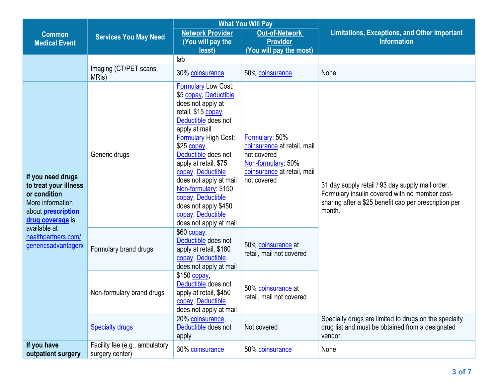|                                                                                                                                                                                               |                                                   | <b>What You Will Pay</b>                                                                                                                                                                                                                                                                                                                                                                          |                                                                                                                                         |                                                                                                                                                                       |  |
|-----------------------------------------------------------------------------------------------------------------------------------------------------------------------------------------------|---------------------------------------------------|---------------------------------------------------------------------------------------------------------------------------------------------------------------------------------------------------------------------------------------------------------------------------------------------------------------------------------------------------------------------------------------------------|-----------------------------------------------------------------------------------------------------------------------------------------|-----------------------------------------------------------------------------------------------------------------------------------------------------------------------|--|
| <b>Common</b><br><b>Medical Event</b>                                                                                                                                                         | <b>Services You May Need</b>                      | <b>Network Provider</b><br>(You will pay the                                                                                                                                                                                                                                                                                                                                                      | <b>Out-of-Network</b><br><b>Provider</b>                                                                                                | <b>Limitations, Exceptions, and Other Important</b><br><b>Information</b>                                                                                             |  |
|                                                                                                                                                                                               |                                                   | least)                                                                                                                                                                                                                                                                                                                                                                                            | (You will pay the most)                                                                                                                 |                                                                                                                                                                       |  |
|                                                                                                                                                                                               |                                                   | lab                                                                                                                                                                                                                                                                                                                                                                                               |                                                                                                                                         |                                                                                                                                                                       |  |
|                                                                                                                                                                                               | Imaging (CT/PET scans,<br>MRI <sub>s</sub> )      | 30% coinsurance                                                                                                                                                                                                                                                                                                                                                                                   | 50% coinsurance                                                                                                                         | None                                                                                                                                                                  |  |
| If you need drugs<br>to treat your illness<br>or condition<br>More information<br>about <b>prescription</b><br>drug coverage is<br>available at<br>healthpartners.com/<br>genericsadvantagerx | Generic drugs                                     | <b>Formulary Low Cost:</b><br>\$5 copay, Deductible<br>does not apply at<br>retail, \$15 copay,<br>Deductible does not<br>apply at mail<br>Formulary High Cost:<br>$$25$ copay<br>Deductible does not<br>apply at retail, \$75<br>copay, Deductible<br>does not apply at mail<br>Non-formulary: \$150<br>copay, Deductible<br>does not apply \$450<br>copay, Deductible<br>does not apply at mail | <b>Formulary: 50%</b><br>coinsurance at retail, mail<br>not covered<br>Non-formulary: 50%<br>coinsurance at retail, mail<br>not covered | 31 day supply retail / 93 day supply mail order.<br>Formulary insulin covered with no member cost-<br>sharing after a \$25 benefit cap per prescription per<br>month. |  |
|                                                                                                                                                                                               | Formulary brand drugs                             | \$60 copay,<br>Deductible does not<br>apply at retail, \$180<br>copay, Deductible<br>does not apply at mail                                                                                                                                                                                                                                                                                       | 50% coinsurance at<br>retail, mail not covered                                                                                          |                                                                                                                                                                       |  |
|                                                                                                                                                                                               | Non-formulary brand drugs                         | $$150$ copay.<br>Deductible does not<br>apply at retail, \$450<br>copay, Deductible<br>does not apply at mail                                                                                                                                                                                                                                                                                     | 50% coinsurance at<br>retail, mail not covered                                                                                          |                                                                                                                                                                       |  |
|                                                                                                                                                                                               | <b>Specialty drugs</b>                            | 20% coinsurance,<br>Deductible does not<br>apply                                                                                                                                                                                                                                                                                                                                                  | Not covered                                                                                                                             | Specialty drugs are limited to drugs on the specialty<br>drug list and must be obtained from a designated<br>vendor.                                                  |  |
| If you have<br>outpatient surgery                                                                                                                                                             | Facility fee (e.g., ambulatory<br>surgery center) | 30% coinsurance                                                                                                                                                                                                                                                                                                                                                                                   | 50% coinsurance                                                                                                                         | None                                                                                                                                                                  |  |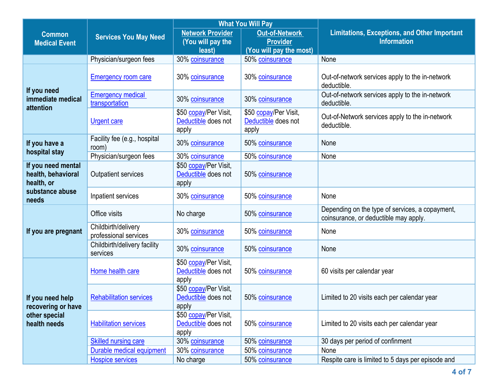|                                                                         |                                              | <b>What You Will Pay</b>                               |                                                                     |                                                                                          |
|-------------------------------------------------------------------------|----------------------------------------------|--------------------------------------------------------|---------------------------------------------------------------------|------------------------------------------------------------------------------------------|
| <b>Common</b><br><b>Medical Event</b>                                   | <b>Services You May Need</b>                 | <b>Network Provider</b><br>(You will pay the<br>least) | <b>Out-of-Network</b><br><b>Provider</b><br>(You will pay the most) | <b>Limitations, Exceptions, and Other Important</b><br><b>Information</b>                |
|                                                                         | Physician/surgeon fees                       | 30% coinsurance                                        | 50% coinsurance                                                     | None                                                                                     |
|                                                                         | <b>Emergency room care</b>                   | 30% coinsurance                                        | 30% coinsurance                                                     | Out-of-network services apply to the in-network<br>deductible.                           |
| If you need<br>immediate medical<br>attention                           | <b>Emergency medical</b><br>transportation   | 30% coinsurance                                        | 30% coinsurance                                                     | Out-of-network services apply to the in-network<br>deductible.                           |
|                                                                         | <b>Urgent care</b>                           | \$50 copay/Per Visit,<br>Deductible does not<br>apply  | \$50 copay/Per Visit,<br>Deductible does not<br>apply               | Out-of-Network services apply to the in-network<br>deductible.                           |
| If you have a<br>hospital stay                                          | Facility fee (e.g., hospital<br>room)        | 30% coinsurance                                        | 50% coinsurance                                                     | None                                                                                     |
|                                                                         | Physician/surgeon fees                       | 30% coinsurance                                        | 50% coinsurance                                                     | None                                                                                     |
| If you need mental<br>health, behavioral<br>health, or                  | <b>Outpatient services</b>                   | \$50 copay/Per Visit,<br>Deductible does not<br>apply  | 50% coinsurance                                                     |                                                                                          |
| substance abuse<br>needs                                                | Inpatient services                           | 30% coinsurance                                        | 50% coinsurance                                                     | None                                                                                     |
| If you are pregnant                                                     | Office visits                                | No charge                                              | 50% coinsurance                                                     | Depending on the type of services, a copayment,<br>coinsurance, or deductible may apply. |
|                                                                         | Childbirth/delivery<br>professional services | 30% coinsurance                                        | 50% coinsurance                                                     | None                                                                                     |
|                                                                         | Childbirth/delivery facility<br>services     | 30% coinsurance                                        | 50% coinsurance                                                     | None                                                                                     |
| If you need help<br>recovering or have<br>other special<br>health needs | Home health care                             | \$50 copay/Per Visit,<br>Deductible does not<br>apply  | 50% coinsurance                                                     | 60 visits per calendar year                                                              |
|                                                                         | <b>Rehabilitation services</b>               | \$50 copay/Per Visit,<br>Deductible does not<br>apply  | 50% coinsurance                                                     | Limited to 20 visits each per calendar year                                              |
|                                                                         | <b>Habilitation services</b>                 | \$50 copay/Per Visit,<br>Deductible does not<br>apply  | 50% coinsurance                                                     | Limited to 20 visits each per calendar year                                              |
|                                                                         | <b>Skilled nursing care</b>                  | 30% coinsurance                                        | 50% coinsurance                                                     | 30 days per period of confinment                                                         |
|                                                                         | Durable medical equipment                    | 30% coinsurance                                        | 50% coinsurance                                                     | None                                                                                     |
|                                                                         | <b>Hospice services</b>                      | No charge                                              | 50% coinsurance                                                     | Respite care is limited to 5 days per episode and                                        |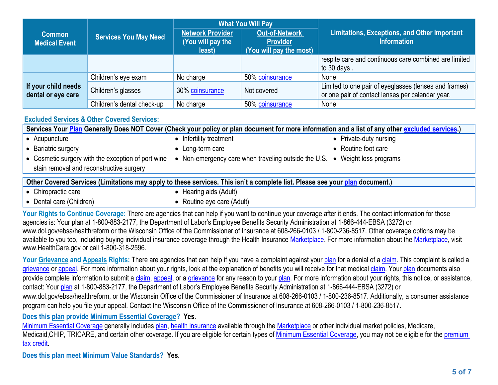|                                           | <b>Services You May Need</b> | <b>What You Will Pay</b>                        |                                                                     |                                                                                                           |
|-------------------------------------------|------------------------------|-------------------------------------------------|---------------------------------------------------------------------|-----------------------------------------------------------------------------------------------------------|
| <b>Common</b><br><b>Medical Event</b>     |                              | Network Provider<br>(You will pay the<br>least) | <b>Out-of-Network</b><br><b>Provider</b><br>(You will pay the most) | <b>Limitations, Exceptions, and Other Important</b><br><b>Information</b>                                 |
|                                           |                              |                                                 |                                                                     | respite care and continuous care combined are limited<br>to 30 days.                                      |
|                                           | Children's eye exam          | No charge                                       | 50% coinsurance                                                     | None                                                                                                      |
| If your child needs<br>dental or eye care | Children's glasses           | 30% coinsurance                                 | Not covered                                                         | Limited to one pair of eyeglasses (lenses and frames)<br>or one pair of contact lenses per calendar year. |
|                                           | Children's dental check-up   | No charge                                       | 50% coinsurance                                                     | None                                                                                                      |

## **[Excluded](https://www.healthcare.gov/sbc-glossary/#excluded-services) Services & Other Covered Services:**

Services Your [Plan](https://www.healthcare.gov/sbc-glossary/#plan) Generally Does NOT Cover (Check your policy or plan document for more information and a list of any other excluded [services](https://www.healthcare.gov/sbc-glossary/#excluded-services).) • Acupuncture • Infertility treatment **•** Private-duty nursing Bariatric surgery Long-term care Routine foot care

- **•** Cosmetic surgery with the exception of port wine stain removal and reconstructive surgery
- Non-emergency care when traveling outside the U.S. Weight loss programs
- 

Other Covered Services (Limitations may apply to these services. This isn't a complete list. Please see your [plan](https://www.healthcare.gov/sbc-glossary/#excluded-services) document.)

• Chiropractic care

• Dental care (Children)

- $\bullet$  Hearing aids (Adult)
- $\bullet$  Routine eye care (Adult)

Your Rights to Continue Coverage: There are agencies that can help if you want to continue your coverage after it ends. The contact information for those agencies is: Your plan at 1-800-883-2177, the Department of Labor'<sup>s</sup> Employee Benefits Security Administration at 1-866-444-EBSA (3272) or www.dol.gov/ebsa/healthreform or the Wisconsin Office of the Commissioner of Insurance at 608-266-0103 / 1-800-236-8517. Other coverage options may be available to you too, including buying individual insurance coverage through the Health Insurance [Marketplace](https://www.healthcare.gov/sbc-glossary/#marketplace). For more information about the Marketplace, visit www.HealthCare.gov or call 1-800-318-2596.

Your Grievance and [Appeals](https://www.healthcare.gov/sbc-glossary/#appeal) Rights: There are agencies that can help if you have a complaint against your [plan](https://www.healthcare.gov/sbc-glossary/#plan) for a denial of a [claim](https://www.healthcare.gov/sbc-glossary/#claim). This complaint is called a [grievance](https://www.healthcare.gov/sbc-glossary/#grievance) or [appeal](https://www.healthcare.gov/sbc-glossary/#appeal). For more information about your rights, look at the explanation of benefits you will receive for that medical [claim](https://www.healthcare.gov/sbc-glossary/#claim). Your [plan](https://www.healthcare.gov/sbc-glossary/#plan) documents also provide complete information to submit a [claim](https://www.healthcare.gov/sbc-glossary/#claim), [appeal](https://www.healthcare.gov/sbc-glossary/#appeal), or a [grievance](https://www.healthcare.gov/sbc-glossary/#grievance) for any reason to your [plan](https://www.healthcare.gov/sbc-glossary/#plan). For more information about your rights, this notice, or assistance, contact: Your [plan](https://www.healthcare.gov/sbc-glossary/#plan) at 1-800-883-2177, the Department of Labor'<sup>s</sup> Employee Benefits Security Administration at 1-866-444-EBSA (3272) or www.dol.gov/ebsa/healthreform, or the Wisconsin Office of the Commissioner of Insurance at 608-266-0103 / 1-800-236-8517. Additionally, <sup>a</sup> consumer assistance program can help you file your appeal. Contact the Wisconsin Office of the Commissioner of Insurance at 608-266-0103 / 1-800-236-8517.

## **Does this plan provide Minimum Essential Coverage? Yes**.

Minimum Essential [Coverage](https://www.healthcare.gov/sbc-glossary/#minimum-essential-coverage) generally includes [plan](https://www.healthcare.gov/sbc-glossary/#plan), health [insurance](https://www.healthcare.gov/sbc-glossary/#health-insurance) available through the [Marketplace](https://www.healthcare.gov/sbc-glossary/#marketplace) or other individual market policies, Medicare,

Medicaid, CHIP, TRICARE, and certain other coverage. If you are eligible for certain types of Minimum Essential [Coverage](https://www.healthcare.gov/sbc-glossary/#minimum-essential-coverage), you may not be eligible for the [premium](https://www.healthcare.gov/sbc-glossary/#premium-tax-credits) tax [credit](https://www.healthcare.gov/sbc-glossary/#premium-tax-credits).

**Does this plan meet Minimum Value Standards? Yes.**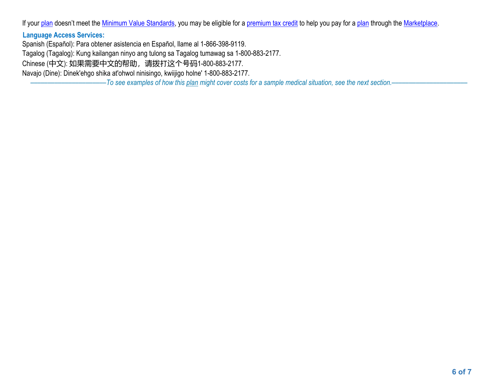If your [plan](https://www.healthcare.gov/sbc-glossary/#plan) doesn't meet the Minimum Value [Standards](https://www.healthcare.gov/sbc-glossary/#minimum-value-standard), you may be eligible for a [premium](https://www.healthcare.gov/sbc-glossary/#premium-tax-credits) tax credit to help you pay for a plan through the [Marketplace](https://www.healthcare.gov/sbc-glossary/#marketplace).

## **Language Access Services:**

Spanish (Español): Para obtener asistencia en Español, llame al 1-866-398-9119. Tagalog (Tagalog): Kung kailangan ninyo ang tulong sa Tagalog tumawag sa 1-800-883-2177. Chinese (中文): 如果需要中文的帮助,请拨打这个号码1-800-883-2177. Navajo (Dine): Dinek'ehgo shika at'ohwol ninisingo, kwiijigo holne' 1-800-883-2177.

-To see examples of how this [plan](https://www.healthcare.gov/sbc-glossary/#plan) might cover costs for a sample medical situation, see the next section.